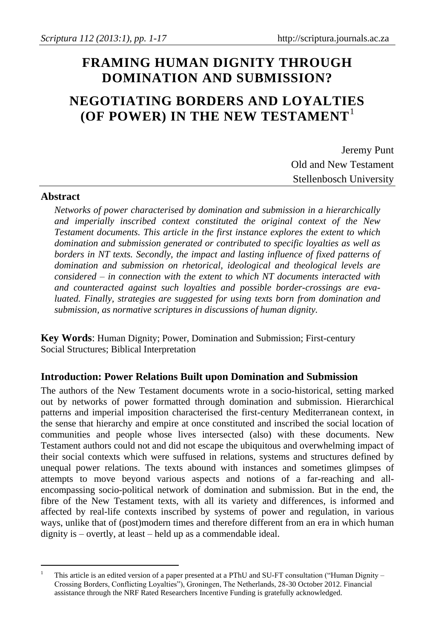# **FRAMING HUMAN DIGNITY THROUGH DOMINATION AND SUBMISSION?**

# **NEGOTIATING BORDERS AND LOYALTIES (OF POWER) IN THE NEW TESTAMENT**<sup>1</sup>

Jeremy Punt Old and New Testament Stellenbosch University

## **Abstract**

 $\overline{a}$ 

*Networks of power characterised by domination and submission in a hierarchically and imperially inscribed context constituted the original context of the New Testament documents. This article in the first instance explores the extent to which domination and submission generated or contributed to specific loyalties as well as borders in NT texts. Secondly, the impact and lasting influence of fixed patterns of domination and submission on rhetorical, ideological and theological levels are considered – in connection with the extent to which NT documents interacted with and counteracted against such loyalties and possible border-crossings are evaluated. Finally, strategies are suggested for using texts born from domination and submission, as normative scriptures in discussions of human dignity.*

**Key Words**: Human Dignity; Power, Domination and Submission; First-century Social Structures; Biblical Interpretation

## **Introduction: Power Relations Built upon Domination and Submission**

The authors of the New Testament documents wrote in a socio-historical, setting marked out by networks of power formatted through domination and submission. Hierarchical patterns and imperial imposition characterised the first-century Mediterranean context, in the sense that hierarchy and empire at once constituted and inscribed the social location of communities and people whose lives intersected (also) with these documents. New Testament authors could not and did not escape the ubiquitous and overwhelming impact of their social contexts which were suffused in relations, systems and structures defined by unequal power relations. The texts abound with instances and sometimes glimpses of attempts to move beyond various aspects and notions of a far-reaching and allencompassing socio-political network of domination and submission. But in the end, the fibre of the New Testament texts, with all its variety and differences, is informed and affected by real-life contexts inscribed by systems of power and regulation, in various ways, unlike that of (post)modern times and therefore different from an era in which human dignity is – overtly, at least – held up as a commendable ideal.

<sup>1</sup> This article is an edited version of a paper presented at a PThU and SU-FT consultation ("Human Dignity – Crossing Borders, Conflicting Loyalties"), Groningen, The Netherlands, 28-30 October 2012. Financial assistance through the NRF Rated Researchers Incentive Funding is gratefully acknowledged.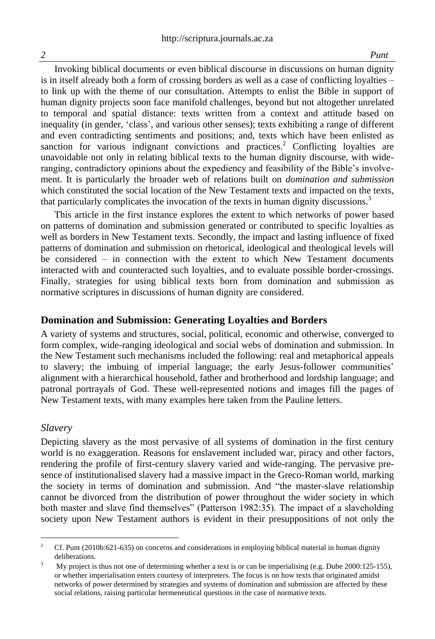Invoking biblical documents or even biblical discourse in discussions on human dignity is in itself already both a form of crossing borders as well as a case of conflicting loyalties – to link up with the theme of our consultation. Attempts to enlist the Bible in support of human dignity projects soon face manifold challenges, beyond but not altogether unrelated to temporal and spatial distance: texts written from a context and attitude based on inequality (in gender, 'class', and various other senses); texts exhibiting a range of different and even contradicting sentiments and positions; and, texts which have been enlisted as sanction for various indignant convictions and practices.<sup>2</sup> Conflicting loyalties are unavoidable not only in relating biblical texts to the human dignity discourse, with wideranging, contradictory opinions about the expediency and feasibility of the Bible's involvement. It is particularly the broader web of relations built on *domination and submission* which constituted the social location of the New Testament texts and impacted on the texts, that particularly complicates the invocation of the texts in human dignity discussions.<sup>3</sup>

This article in the first instance explores the extent to which networks of power based on patterns of domination and submission generated or contributed to specific loyalties as well as borders in New Testament texts. Secondly, the impact and lasting influence of fixed patterns of domination and submission on rhetorical, ideological and theological levels will be considered – in connection with the extent to which New Testament documents interacted with and counteracted such loyalties, and to evaluate possible border-crossings. Finally, strategies for using biblical texts born from domination and submission as normative scriptures in discussions of human dignity are considered.

#### **Domination and Submission: Generating Loyalties and Borders**

A variety of systems and structures, social, political, economic and otherwise, converged to form complex, wide-ranging ideological and social webs of domination and submission. In the New Testament such mechanisms included the following: real and metaphorical appeals to slavery; the imbuing of imperial language; the early Jesus-follower communities' alignment with a hierarchical household, father and brotherhood and lordship language; and patronal portrayals of God. These well-represented notions and images fill the pages of New Testament texts, with many examples here taken from the Pauline letters.

#### *Slavery*

 $\overline{a}$ 

Depicting slavery as the most pervasive of all systems of domination in the first century world is no exaggeration. Reasons for enslavement included war, piracy and other factors, rendering the profile of first-century slavery varied and wide-ranging. The pervasive presence of institutionalised slavery had a massive impact in the Greco-Roman world, marking the society in terms of domination and submission. And "the master-slave relationship cannot be divorced from the distribution of power throughout the wider society in which both master and slave find themselves" (Patterson 1982:35). The impact of a slaveholding society upon New Testament authors is evident in their presuppositions of not only the

<sup>2</sup> Cf. Punt (2010b:621-635) on concerns and considerations in employing biblical material in human dignity deliberations.

<sup>&</sup>lt;sup>3</sup> My project is thus not one of determining whether a text is or can be imperialising (e.g. Dube 2000:125-155), or whether imperialisation enters courtesy of interpreters. The focus is on how texts that originated amidst networks of power determined by strategies and systems of domination and submission are affected by these social relations, raising particular hermeneutical questions in the case of normative texts.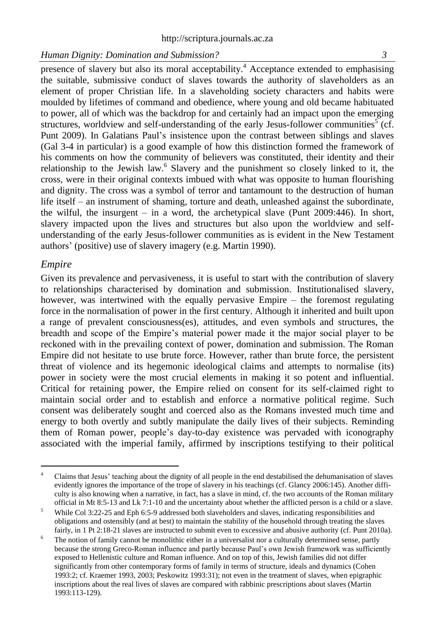presence of slavery but also its moral acceptability.<sup>4</sup> Acceptance extended to emphasising the suitable, submissive conduct of slaves towards the authority of slaveholders as an element of proper Christian life. In a slaveholding society characters and habits were moulded by lifetimes of command and obedience, where young and old became habituated to power, all of which was the backdrop for and certainly had an impact upon the emerging structures, worldview and self-understanding of the early Jesus-follower communities<sup>5</sup> (cf. Punt 2009). In Galatians Paul's insistence upon the contrast between siblings and slaves (Gal 3-4 in particular) is a good example of how this distinction formed the framework of his comments on how the community of believers was constituted, their identity and their relationship to the Jewish law.<sup>6</sup> Slavery and the punishment so closely linked to it, the cross, were in their original contexts imbued with what was opposite to human flourishing and dignity. The cross was a symbol of terror and tantamount to the destruction of human life itself – an instrument of shaming, torture and death, unleashed against the subordinate, the wilful, the insurgent – in a word, the archetypical slave (Punt 2009:446). In short, slavery impacted upon the lives and structures but also upon the worldview and selfunderstanding of the early Jesus-follower communities as is evident in the New Testament authors' (positive) use of slavery imagery (e.g. Martin 1990).

#### *Empire*

Given its prevalence and pervasiveness, it is useful to start with the contribution of slavery to relationships characterised by domination and submission. Institutionalised slavery, however, was intertwined with the equally pervasive Empire – the foremost regulating force in the normalisation of power in the first century. Although it inherited and built upon a range of prevalent consciousness(es), attitudes, and even symbols and structures, the breadth and scope of the Empire's material power made it the major social player to be reckoned with in the prevailing context of power, domination and submission. The Roman Empire did not hesitate to use brute force. However, rather than brute force, the persistent threat of violence and its hegemonic ideological claims and attempts to normalise (its) power in society were the most crucial elements in making it so potent and influential. Critical for retaining power, the Empire relied on consent for its self-claimed right to maintain social order and to establish and enforce a normative political regime. Such consent was deliberately sought and coerced also as the Romans invested much time and energy to both overtly and subtly manipulate the daily lives of their subjects. Reminding them of Roman power, people's day-to-day existence was pervaded with iconography associated with the imperial family, affirmed by inscriptions testifying to their political

 $\overline{a}$ <sup>4</sup> Claims that Jesus' teaching about the dignity of all people in the end destabilised the dehumanisation of slaves evidently ignores the importance of the trope of slavery in his teachings (cf. Glancy 2006:145). Another difficulty is also knowing when a narrative, in fact, has a slave in mind, cf. the two accounts of the Roman military official in Mt 8:5-13 and Lk 7:1-10 and the uncertainty about whether the afflicted person is a child or a slave.

<sup>&</sup>lt;sup>5</sup> While Col 3:22-25 and Eph 6:5-9 addressed both slaveholders and slaves, indicating responsibilities and obligations and ostensibly (and at best) to maintain the stability of the household through treating the slaves fairly, in 1 Pt 2:18-21 slaves are instructed to submit even to excessive and abusive authority (cf. Punt 2010a).

<sup>&</sup>lt;sup>6</sup> The notion of family cannot be monolithic either in a universalist nor a culturally determined sense, partly because the strong Greco-Roman influence and partly because Paul's own Jewish framework was sufficiently exposed to Hellenistic culture and Roman influence. And on top of this, Jewish families did not differ significantly from other contemporary forms of family in terms of structure, ideals and dynamics (Cohen 1993:2; cf. Kraemer 1993, 2003; Peskowitz 1993:31); not even in the treatment of slaves, when epigraphic inscriptions about the real lives of slaves are compared with rabbinic prescriptions about slaves (Martin 1993:113-129).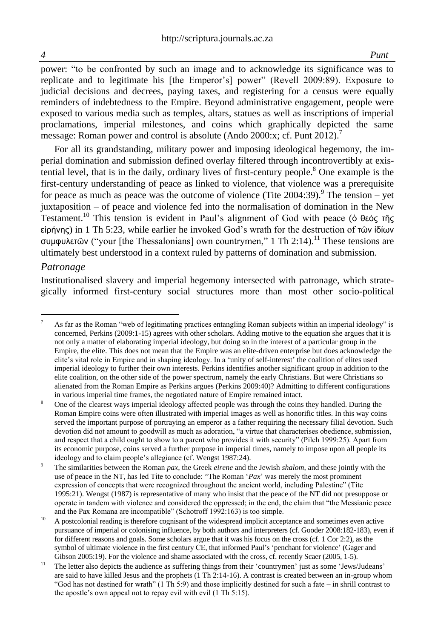power: "to be confronted by such an image and to acknowledge its significance was to replicate and to legitimate his [the Emperor's] power" (Revell 2009:89). Exposure to judicial decisions and decrees, paying taxes, and registering for a census were equally reminders of indebtedness to the Empire. Beyond administrative engagement, people were exposed to various media such as temples, altars, statues as well as inscriptions of imperial proclamations, imperial milestones, and coins which graphically depicted the same message: Roman power and control is absolute (Ando 2000:x; cf. Punt 2012).<sup>7</sup>

For all its grandstanding, military power and imposing ideological hegemony, the imperial domination and submission defined overlay filtered through incontrovertibly at existential level, that is in the daily, ordinary lives of first-century people. <sup>8</sup> One example is the first-century understanding of peace as linked to violence, that violence was a prerequisite for peace as much as peace was the outcome of violence (Tite  $2004:39$ ).<sup>9</sup> The tension – yet juxtaposition – of peace and violence fed into the normalisation of domination in the New Testament.<sup>10</sup> This tension is evident in Paul's alignment of God with peace (ό θεὸς τῆς εἰρήνης) in 1 Th 5:23, while earlier he invoked God's wrath for the destruction of τῶν ἰδίων συμφυλετῶν ("your [the Thessalonians] own countrymen," 1 Th 2:14).<sup>11</sup> These tensions are ultimately best understood in a context ruled by patterns of domination and submission.

#### *Patronage*

Institutionalised slavery and imperial hegemony intersected with patronage, which strategically informed first-century social structures more than most other socio-political

l As far as the Roman "web of legitimating practices entangling Roman subjects within an imperial ideology" is concerned, Perkins (2009:1-15) agrees with other scholars. Adding motive to the equation she argues that it is not only a matter of elaborating imperial ideology, but doing so in the interest of a particular group in the Empire, the elite. This does not mean that the Empire was an elite-driven enterprise but does acknowledge the elite's vital role in Empire and in shaping ideology. In a 'unity of self-interest' the coalition of elites used imperial ideology to further their own interests. Perkins identifies another significant group in addition to the elite coalition, on the other side of the power spectrum, namely the early Christians. But were Christians so alienated from the Roman Empire as Perkins argues (Perkins 2009:40)? Admitting to different configurations in various imperial time frames, the negotiated nature of Empire remained intact.

One of the clearest ways imperial ideology affected people was through the coins they handled. During the Roman Empire coins were often illustrated with imperial images as well as honorific titles. In this way coins served the important purpose of portraying an emperor as a father requiring the necessary filial devotion. Such devotion did not amount to goodwill as much as adoration, "a virtue that characterises obedience, submission, and respect that a child ought to show to a parent who provides it with security" (Pilch 1999:25). Apart from its economic purpose, coins served a further purpose in imperial times, namely to impose upon all people its ideology and to claim people's allegiance (cf. Wengst 1987:24).

<sup>9</sup> The similarities between the Roman *pax*, the Greek *eirene* and the Jewish *shalom*, and these jointly with the use of peace in the NT, has led Tite to conclude: "The Roman '*Pax*' was merely the most prominent expression of concepts that were recognized throughout the ancient world, including Palestine" (Tite 1995:21). Wengst (1987) is representative of many who insist that the peace of the NT did not presuppose or operate in tandem with violence and considered the oppressed; in the end, the claim that "the Messianic peace and the Pax Romana are incompatible" (Schotroff 1992:163) is too simple.

<sup>&</sup>lt;sup>10</sup> A postcolonial reading is therefore cognisant of the widespread implicit acceptance and sometimes even active pursuance of imperial or colonising influence, by both authors and interpreters (cf. Gooder 2008:182-183), even if for different reasons and goals. Some scholars argue that it was his focus on the cross (cf. 1 Cor 2:2), as the symbol of ultimate violence in the first century CE, that informed Paul's 'penchant for violence' (Gager and Gibson 2005:19). For the violence and shame associated with the cross, cf. recently Scaer (2005, 1-5).

<sup>&</sup>lt;sup>11</sup> The letter also depicts the audience as suffering things from their 'countrymen' just as some 'Jews/Judeans' are said to have killed Jesus and the prophets (1 Th 2:14-16). A contrast is created between an in-group whom "God has not destined for wrath"  $(1 \text{ Th } 5.9)$  and those implicitly destined for such a fate – in shrill contrast to the apostle's own appeal not to repay evil with evil (1 Th 5:15).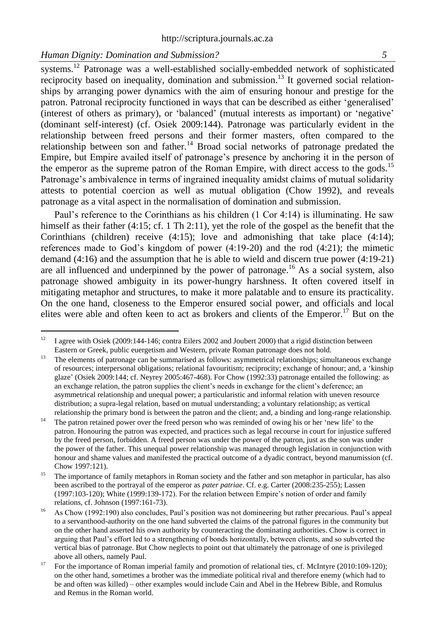systems.<sup>12</sup> Patronage was a well-established socially-embedded network of sophisticated reciprocity based on inequality, domination and submission.<sup>13</sup> It governed social relationships by arranging power dynamics with the aim of ensuring honour and prestige for the patron. Patronal reciprocity functioned in ways that can be described as either 'generalised' (interest of others as primary), or 'balanced' (mutual interests as important) or 'negative' (dominant self-interest) (cf. Osiek 2009:144). Patronage was particularly evident in the relationship between freed persons and their former masters, often compared to the relationship between son and father.<sup>14</sup> Broad social networks of patronage predated the Empire, but Empire availed itself of patronage's presence by anchoring it in the person of the emperor as the supreme patron of the Roman Empire, with direct access to the gods.<sup>15</sup> Patronage's ambivalence in terms of ingrained inequality amidst claims of mutual solidarity attests to potential coercion as well as mutual obligation (Chow 1992), and reveals patronage as a vital aspect in the normalisation of domination and submission.

Paul's reference to the Corinthians as his children (1 Cor 4:14) is illuminating. He saw himself as their father (4:15; cf. 1 Th 2:11), yet the role of the gospel as the benefit that the Corinthians (children) receive  $(4:15)$ ; love and admonishing that take place  $(4:14)$ ; references made to God's kingdom of power (4:19-20) and the rod (4:21); the mimetic demand (4:16) and the assumption that he is able to wield and discern true power (4:19-21) are all influenced and underpinned by the power of patronage.<sup>16</sup> As a social system, also patronage showed ambiguity in its power-hungry harshness. It often covered itself in mitigating metaphor and structures, to make it more palatable and to ensure its practicality. On the one hand, closeness to the Emperor ensured social power, and officials and local elites were able and often keen to act as brokers and clients of the Emperor.<sup>17</sup> But on the

 $12^{12}$ <sup>12</sup> I agree with Osiek (2009:144-146; contra Eilers 2002 and Joubert 2000) that a rigid distinction between Eastern or Greek, public euergetism and Western, private Roman patronage does not hold.

<sup>&</sup>lt;sup>13</sup> The elements of patronage can be summarised as follows: asymmetrical relationships; simultaneous exchange of resources; interpersonal obligations; relational favouritism; reciprocity; exchange of honour; and, a 'kinship glaze' (Osiek 2009:144; cf. Neyrey 2005:467-468). For Chow (1992:33) patronage entailed the following: as an exchange relation, the patron supplies the client's needs in exchange for the client's deference; an asymmetrical relationship and unequal power; a particularistic and informal relation with uneven resource distribution; a supra-legal relation, based on mutual understanding; a voluntary relationship; as vertical relationship the primary bond is between the patron and the client; and, a binding and long-range relationship.

<sup>&</sup>lt;sup>14</sup> The patron retained power over the freed person who was reminded of owing his or her 'new life' to the patron. Honouring the patron was expected, and practices such as legal recourse in court for injustice suffered by the freed person, forbidden. A freed person was under the power of the patron, just as the son was under the power of the father. This unequal power relationship was managed through legislation in conjunction with honour and shame values and manifested the practical outcome of a dyadic contract, beyond manumission (cf. Chow 1997:121).

<sup>&</sup>lt;sup>15</sup> The importance of family metaphors in Roman society and the father and son metaphor in particular, has also been ascribed to the portrayal of the emperor as *pater patriae*. Cf. e.g. Carter (2008:235-255); Lassen (1997:103-120); White (1999:139-172). For the relation between Empire's notion of order and family relations, cf. Johnson (1997:161-73).

<sup>&</sup>lt;sup>16</sup> As Chow (1992:190) also concludes, Paul's position was not domineering but rather precarious. Paul's appeal to a servanthood-authority on the one hand subverted the claims of the patronal figures in the community but on the other hand asserted his own authority by counteracting the dominating authorities. Chow is correct in arguing that Paul's effort led to a strengthening of bonds horizontally, between clients, and so subverted the vertical bias of patronage. But Chow neglects to point out that ultimately the patronage of one is privileged above all others, namely Paul.

<sup>&</sup>lt;sup>17</sup> For the importance of Roman imperial family and promotion of relational ties, cf. McIntyre (2010:109-120); on the other hand, sometimes a brother was the immediate political rival and therefore enemy (which had to be and often was killed) – other examples would include Cain and Abel in the Hebrew Bible, and Romulus and Remus in the Roman world.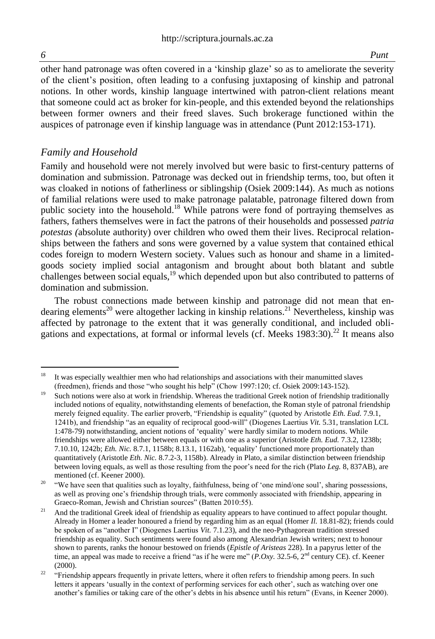other hand patronage was often covered in a 'kinship glaze' so as to ameliorate the severity of the client's position, often leading to a confusing juxtaposing of kinship and patronal notions. In other words, kinship language intertwined with patron-client relations meant that someone could act as broker for kin-people, and this extended beyond the relationships between former owners and their freed slaves. Such brokerage functioned within the auspices of patronage even if kinship language was in attendance (Punt 2012:153-171).

#### *Family and Household*

Family and household were not merely involved but were basic to first-century patterns of domination and submission. Patronage was decked out in friendship terms, too, but often it was cloaked in notions of fatherliness or siblingship (Osiek 2009:144). As much as notions of familial relations were used to make patronage palatable, patronage filtered down from public society into the household.<sup>18</sup> While patrons were fond of portraying themselves as fathers, fathers themselves were in fact the patrons of their households and possessed *patria potestas (*absolute authority) over children who owed them their lives. Reciprocal relationships between the fathers and sons were governed by a value system that contained ethical codes foreign to modern Western society. Values such as honour and shame in a limitedgoods society implied social antagonism and brought about both blatant and subtle challenges between social equals,<sup>19</sup> which depended upon but also contributed to patterns of domination and submission.

The robust connections made between kinship and patronage did not mean that endearing elements<sup>20</sup> were altogether lacking in kinship relations.<sup>21</sup> Nevertheless, kinship was affected by patronage to the extent that it was generally conditional, and included obligations and expectations, at formal or informal levels (cf. Meeks  $1983:30$ ).<sup>22</sup> It means also

<sup>18</sup> <sup>18</sup> It was especially wealthier men who had relationships and associations with their manumitted slaves (freedmen), friends and those "who sought his help" (Chow 1997:120; cf. Osiek 2009:143-152).

<sup>&</sup>lt;sup>19</sup> Such notions were also at work in friendship. Whereas the traditional Greek notion of friendship traditionally included notions of equality, notwithstanding elements of benefaction, the Roman style of patronal friendship merely feigned equality. The earlier proverb, "Friendship is equality" (quoted by Aristotle *Eth. Eud.* 7.9.1, 1241b), and friendship "as an equality of reciprocal good-will" (Diogenes Laertius *Vit.* 5.31, translation LCL 1:478-79) notwithstanding, ancient notions of 'equality' were hardly similar to modern notions. While friendships were allowed either between equals or with one as a superior (Aristotle *Eth. Eud.* 7.3.2, 1238b; 7.10.10, 1242b; *Eth. Nic.* 8.7.1, 1158b; 8.13.1, 1162ab), 'equality' functioned more proportionately than quantitatively (Aristotle *Eth. Nic.* 8.7.2-3, 1158b). Already in Plato, a similar distinction between friendship between loving equals, as well as those resulting from the poor's need for the rich (Plato *Leg.* 8, 837AB), are mentioned (cf. Keener 2000).

<sup>&</sup>lt;sup>20</sup> "We have seen that qualities such as loyalty, faithfulness, being of 'one mind/one soul', sharing possessions, as well as proving one's friendship through trials, were commonly associated with friendship, appearing in Graeco-Roman, Jewish and Christian sources" (Batten 2010:55).

<sup>&</sup>lt;sup>21</sup> And the traditional Greek ideal of friendship as equality appears to have continued to affect popular thought. Already in Homer a leader honoured a friend by regarding him as an equal (Homer *Il.* 18.81-82); friends could be spoken of as "another I" (Diogenes Laertius *Vit.* 7.1.23), and the neo-Pythagorean tradition stressed friendship as equality. Such sentiments were found also among Alexandrian Jewish writers; next to honour shown to parents, ranks the honour bestowed on friends (*Epistle of Aristeas* 228). In a papyrus letter of the time, an appeal was made to receive a friend "as if he were me" (*P.Oxy.* 32.5-6, 2<sup>nd</sup> century CE). cf. Keener (2000).

<sup>&</sup>lt;sup>22</sup> "Friendship appears frequently in private letters, where it often refers to friendship among peers. In such letters it appears 'usually in the context of performing services for each other', such as watching over one another's families or taking care of the other's debts in his absence until his return" (Evans, in Keener 2000).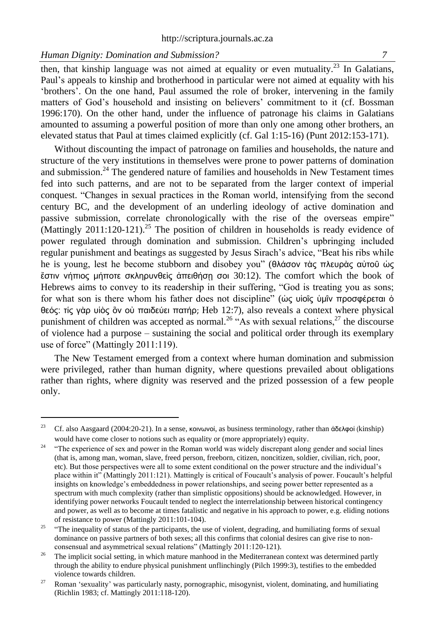l

then, that kinship language was not aimed at equality or even mutuality.<sup>23</sup> In Galatians, Paul's appeals to kinship and brotherhood in particular were not aimed at equality with his 'brothers'. On the one hand, Paul assumed the role of broker, intervening in the family matters of God's household and insisting on believers' commitment to it (cf. Bossman 1996:170). On the other hand, under the influence of patronage his claims in Galatians amounted to assuming a powerful position of more than only one among other brothers, an elevated status that Paul at times claimed explicitly (cf. Gal 1:15-16) (Punt 2012:153-171).

Without discounting the impact of patronage on families and households, the nature and structure of the very institutions in themselves were prone to power patterns of domination and submission.<sup>24</sup> The gendered nature of families and households in New Testament times fed into such patterns, and are not to be separated from the larger context of imperial conquest. "Changes in sexual practices in the Roman world, intensifying from the second century BC, and the development of an underling ideology of active domination and passive submission, correlate chronologically with the rise of the overseas empire" (Mattingly 2011:120-121).<sup>25</sup> The position of children in households is ready evidence of power regulated through domination and submission. Children's upbringing included regular punishment and beatings as suggested by Jesus Sirach's advice, "Beat his ribs while he is young, lest he become stubborn and disobey you" (θλάσον τὰς πλευρὰς αὐτοῦ ὡς έστιν νήπιος μήποτε σκληρυνθείς ἀπειθήση σοι 30:12). The comfort which the book of Hebrews aims to convey to its readership in their suffering, "God is treating you as sons; for what son is there whom his father does not discipline" (ὡς υἱοῖς ὑμῖν προσφέρεται ὁ θεός: τίς γὰρ υἱὸς ὃν οὐ παιδεύει πατήρ; Heb 12:7), also reveals a context where physical punishment of children was accepted as normal.<sup>26</sup> "As with sexual relations,<sup>27</sup> the discourse of violence had a purpose – sustaining the social and political order through its exemplary use of force" (Mattingly 2011:119).

The New Testament emerged from a context where human domination and submission were privileged, rather than human dignity, where questions prevailed about obligations rather than rights, where dignity was reserved and the prized possession of a few people only.

<sup>&</sup>lt;sup>23</sup> Cf. also Aasgaard (2004:20-21). In a sense, κοινωνοί, as business terminology, rather than ἀδελφοί (kinship) would have come closer to notions such as equality or (more appropriately) equity.

<sup>&</sup>lt;sup>24</sup> "The experience of sex and power in the Roman world was widely discrepant along gender and social lines (that is, among man, woman, slave, freed person, freeborn, citizen, noncitizen, soldier, civilian, rich, poor, etc). But those perspectives were all to some extent conditional on the power structure and the individual's place within it" (Mattingly 2011:121). Mattingly is critical of Foucault's analysis of power. Foucault's helpful insights on knowledge's embeddedness in power relationships, and seeing power better represented as a spectrum with much complexity (rather than simplistic oppositions) should be acknowledged. However, in identifying power networks Foucault tended to neglect the interrelationship between historical contingency and power, as well as to become at times fatalistic and negative in his approach to power, e.g. eliding notions of resistance to power (Mattingly 2011:101-104).

<sup>&</sup>lt;sup>25</sup> "The inequality of status of the participants, the use of violent, degrading, and humiliating forms of sexual dominance on passive partners of both sexes; all this confirms that colonial desires can give rise to nonconsensual and asymmetrical sexual relations" (Mattingly 2011:120-121).

<sup>&</sup>lt;sup>26</sup> The implicit social setting, in which mature manhood in the Mediterranean context was determined partly through the ability to endure physical punishment unflinchingly (Pilch 1999:3), testifies to the embedded violence towards children.

<sup>&</sup>lt;sup>27</sup> Roman 'sexuality' was particularly nasty, pornographic, misogynist, violent, dominating, and humiliating (Richlin 1983; cf. Mattingly 2011:118-120).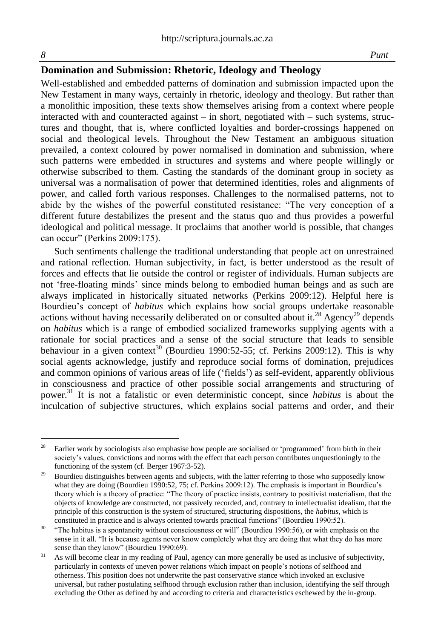### **Domination and Submission: Rhetoric, Ideology and Theology**

Well-established and embedded patterns of domination and submission impacted upon the New Testament in many ways, certainly in rhetoric, ideology and theology. But rather than a monolithic imposition, these texts show themselves arising from a context where people interacted with and counteracted against – in short, negotiated with – such systems, structures and thought, that is, where conflicted loyalties and border-crossings happened on social and theological levels. Throughout the New Testament an ambiguous situation prevailed, a context coloured by power normalised in domination and submission, where such patterns were embedded in structures and systems and where people willingly or otherwise subscribed to them. Casting the standards of the dominant group in society as universal was a normalisation of power that determined identities, roles and alignments of power, and called forth various responses. Challenges to the normalised patterns, not to abide by the wishes of the powerful constituted resistance: "The very conception of a different future destabilizes the present and the status quo and thus provides a powerful ideological and political message. It proclaims that another world is possible, that changes can occur" (Perkins 2009:175).

Such sentiments challenge the traditional understanding that people act on unrestrained and rational reflection. Human subjectivity, in fact, is better understood as the result of forces and effects that lie outside the control or register of individuals. Human subjects are not 'free-floating minds' since minds belong to embodied human beings and as such are always implicated in historically situated networks (Perkins 2009:12). Helpful here is Bourdieu's concept of *habitus* which explains how social groups undertake reasonable actions without having necessarily deliberated on or consulted about it.<sup>28</sup> Agency<sup>29</sup> depends on *habitus* which is a range of embodied socialized frameworks supplying agents with a rationale for social practices and a sense of the social structure that leads to sensible behaviour in a given context<sup>30</sup> (Bourdieu 1990:52-55; cf. Perkins 2009:12). This is why social agents acknowledge, justify and reproduce social forms of domination, prejudices and common opinions of various areas of life ('fields') as self-evident, apparently oblivious in consciousness and practice of other possible social arrangements and structuring of power.<sup>31</sup> It is not a fatalistic or even deterministic concept, since *habitus* is about the inculcation of subjective structures, which explains social patterns and order, and their

 $28$ Earlier work by sociologists also emphasise how people are socialised or 'programmed' from birth in their society's values, convictions and norms with the effect that each person contributes unquestioningly to the functioning of the system (cf. Berger 1967:3-52).

<sup>&</sup>lt;sup>29</sup> Bourdieu distinguishes between agents and subjects, with the latter referring to those who supposedly know what they are doing (Bourdieu 1990:52, 75; cf. Perkins 2009:12). The emphasis is important in Bourdieu's theory which is a theory of practice: "The theory of practice insists, contrary to positivist materialism, that the objects of knowledge are constructed, not passively recorded, and, contrary to intellectualist idealism, that the principle of this construction is the system of structured, structuring dispositions, the *habitus*, which is constituted in practice and is always oriented towards practical functions" (Bourdieu 1990:52).

<sup>&</sup>lt;sup>30</sup> "The habitus is a spontaneity without consciousness or will" (Bourdieu 1990:56), or with emphasis on the sense in it all. "It is because agents never know completely what they are doing that what they do has more sense than they know" (Bourdieu 1990:69).

<sup>&</sup>lt;sup>31</sup> As will become clear in my reading of Paul, agency can more generally be used as inclusive of subjectivity, particularly in contexts of uneven power relations which impact on people's notions of selfhood and otherness. This position does not underwrite the past conservative stance which invoked an exclusive universal, but rather postulating selfhood through exclusion rather than inclusion, identifying the self through excluding the Other as defined by and according to criteria and characteristics eschewed by the in-group.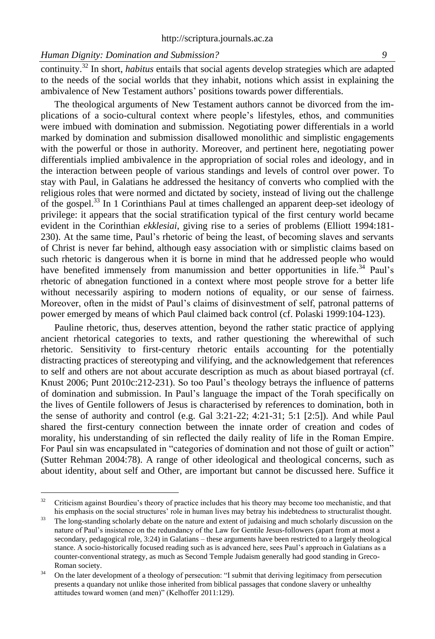continuity.<sup>32</sup> In short, *habitus* entails that social agents develop strategies which are adapted to the needs of the social worlds that they inhabit, notions which assist in explaining the ambivalence of New Testament authors' positions towards power differentials.

The theological arguments of New Testament authors cannot be divorced from the implications of a socio-cultural context where people's lifestyles, ethos, and communities were imbued with domination and submission. Negotiating power differentials in a world marked by domination and submission disallowed monolithic and simplistic engagements with the powerful or those in authority. Moreover, and pertinent here, negotiating power differentials implied ambivalence in the appropriation of social roles and ideology, and in the interaction between people of various standings and levels of control over power. To stay with Paul, in Galatians he addressed the hesitancy of converts who complied with the religious roles that were normed and dictated by society, instead of living out the challenge of the gospel.<sup>33</sup> In 1 Corinthians Paul at times challenged an apparent deep-set ideology of privilege: it appears that the social stratification typical of the first century world became evident in the Corinthian *ekklesiai*, giving rise to a series of problems (Elliott 1994:181- 230). At the same time, Paul's rhetoric of being the least, of becoming slaves and servants of Christ is never far behind, although easy association with or simplistic claims based on such rhetoric is dangerous when it is borne in mind that he addressed people who would have benefited immensely from manumission and better opportunities in life.<sup>34</sup> Paul's rhetoric of abnegation functioned in a context where most people strove for a better life without necessarily aspiring to modern notions of equality, or our sense of fairness. Moreover, often in the midst of Paul's claims of disinvestment of self, patronal patterns of power emerged by means of which Paul claimed back control (cf. Polaski 1999:104-123).

Pauline rhetoric, thus, deserves attention, beyond the rather static practice of applying ancient rhetorical categories to texts, and rather questioning the wherewithal of such rhetoric. Sensitivity to first-century rhetoric entails accounting for the potentially distracting practices of stereotyping and vilifying, and the acknowledgement that references to self and others are not about accurate description as much as about biased portrayal (cf. Knust 2006; Punt 2010c:212-231). So too Paul's theology betrays the influence of patterns of domination and submission. In Paul's language the impact of the Torah specifically on the lives of Gentile followers of Jesus is characterised by references to domination, both in the sense of authority and control (e.g. Gal 3:21-22; 4:21-31; 5:1 [2:5]). And while Paul shared the first-century connection between the innate order of creation and codes of morality, his understanding of sin reflected the daily reality of life in the Roman Empire. For Paul sin was encapsulated in "categories of domination and not those of guilt or action" (Sutter Rehman 2004:78). A range of other ideological and theological concerns, such as about identity, about self and Other, are important but cannot be discussed here. Suffice it

 $32.$ <sup>32</sup> Criticism against Bourdieu's theory of practice includes that his theory may become too mechanistic, and that his emphasis on the social structures' role in human lives may betray his indebtedness to structuralist thought.

<sup>&</sup>lt;sup>33</sup> The long-standing scholarly debate on the nature and extent of judaising and much scholarly discussion on the nature of Paul's insistence on the redundancy of the Law for Gentile Jesus-followers (apart from at most a secondary, pedagogical role, 3:24) in Galatians – these arguments have been restricted to a largely theological stance. A socio-historically focused reading such as is advanced here, sees Paul's approach in Galatians as a counter-conventional strategy, as much as Second Temple Judaism generally had good standing in Greco-Roman society.

<sup>&</sup>lt;sup>34</sup> On the later development of a theology of persecution: "I submit that deriving legitimacy from persecution presents a quandary not unlike those inherited from biblical passages that condone slavery or unhealthy attitudes toward women (and men)" (Kelhoffer 2011:129).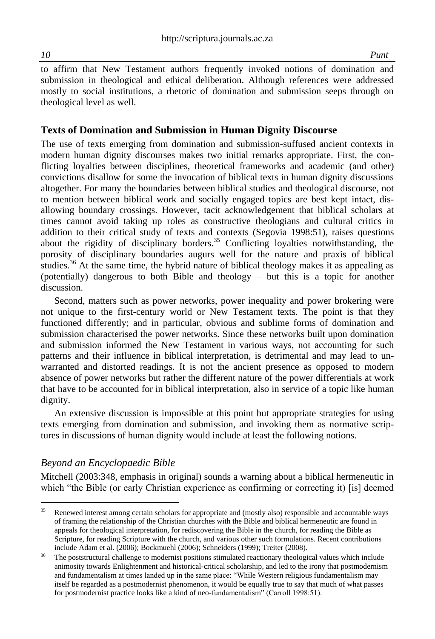to affirm that New Testament authors frequently invoked notions of domination and submission in theological and ethical deliberation. Although references were addressed mostly to social institutions, a rhetoric of domination and submission seeps through on theological level as well.

#### **Texts of Domination and Submission in Human Dignity Discourse**

The use of texts emerging from domination and submission-suffused ancient contexts in modern human dignity discourses makes two initial remarks appropriate. First, the conflicting loyalties between disciplines, theoretical frameworks and academic (and other) convictions disallow for some the invocation of biblical texts in human dignity discussions altogether. For many the boundaries between biblical studies and theological discourse, not to mention between biblical work and socially engaged topics are best kept intact, disallowing boundary crossings. However, tacit acknowledgement that biblical scholars at times cannot avoid taking up roles as constructive theologians and cultural critics in addition to their critical study of texts and contexts (Segovia 1998:51), raises questions about the rigidity of disciplinary borders.<sup>35</sup> Conflicting loyalties notwithstanding, the porosity of disciplinary boundaries augurs well for the nature and praxis of biblical studies.<sup>36</sup> At the same time, the hybrid nature of biblical theology makes it as appealing as (potentially) dangerous to both Bible and theology – but this is a topic for another discussion.

Second, matters such as power networks, power inequality and power brokering were not unique to the first-century world or New Testament texts. The point is that they functioned differently; and in particular, obvious and sublime forms of domination and submission characterised the power networks. Since these networks built upon domination and submission informed the New Testament in various ways, not accounting for such patterns and their influence in biblical interpretation, is detrimental and may lead to unwarranted and distorted readings. It is not the ancient presence as opposed to modern absence of power networks but rather the different nature of the power differentials at work that have to be accounted for in biblical interpretation, also in service of a topic like human dignity.

An extensive discussion is impossible at this point but appropriate strategies for using texts emerging from domination and submission, and invoking them as normative scriptures in discussions of human dignity would include at least the following notions.

#### *Beyond an Encyclopaedic Bible*

Mitchell (2003:348, emphasis in original) sounds a warning about a biblical hermeneutic in which "the Bible (or early Christian experience as confirming or correcting it) [is] deemed

<sup>35</sup> <sup>35</sup> Renewed interest among certain scholars for appropriate and (mostly also) responsible and accountable ways of framing the relationship of the Christian churches with the Bible and biblical hermeneutic are found in appeals for theological interpretation, for rediscovering the Bible in the church, for reading the Bible as Scripture, for reading Scripture with the church, and various other such formulations. Recent contributions include Adam et al. (2006); Bockmuehl (2006); Schneiders (1999); Treiter (2008).

<sup>&</sup>lt;sup>36</sup> The poststructural challenge to modernist positions stimulated reactionary theological values which include animosity towards Enlightenment and historical-critical scholarship, and led to the irony that postmodernism and fundamentalism at times landed up in the same place: "While Western religious fundamentalism may itself be regarded as a postmodernist phenomenon, it would be equally true to say that much of what passes for postmodernist practice looks like a kind of neo-fundamentalism" (Carroll 1998:51).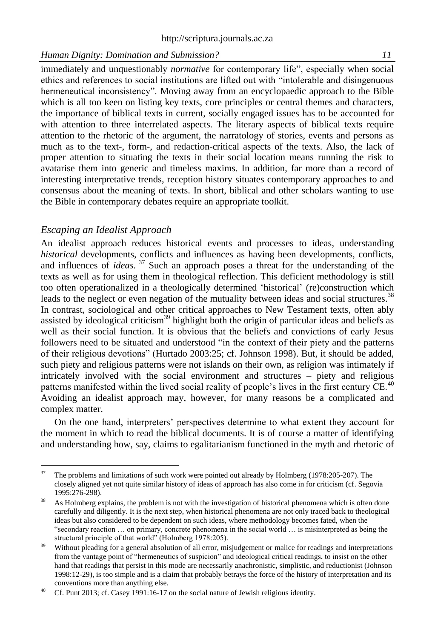immediately and unquestionably *normative* for contemporary life", especially when social ethics and references to social institutions are lifted out with "intolerable and disingenuous hermeneutical inconsistency". Moving away from an encyclopaedic approach to the Bible which is all too keen on listing key texts, core principles or central themes and characters, the importance of biblical texts in current, socially engaged issues has to be accounted for with attention to three interrelated aspects. The literary aspects of biblical texts require attention to the rhetoric of the argument, the narratology of stories, events and persons as much as to the text-, form-, and redaction-critical aspects of the texts. Also, the lack of proper attention to situating the texts in their social location means running the risk to avatarise them into generic and timeless maxims. In addition, far more than a record of interesting interpretative trends, reception history situates contemporary approaches to and consensus about the meaning of texts. In short, biblical and other scholars wanting to use the Bible in contemporary debates require an appropriate toolkit.

#### *Escaping an Idealist Approach*

An idealist approach reduces historical events and processes to ideas, understanding *historical* developments, conflicts and influences as having been developments, conflicts, and influences of *ideas*. <sup>37</sup> Such an approach poses a threat for the understanding of the texts as well as for using them in theological reflection. This deficient methodology is still too often operationalized in a theologically determined 'historical' (re)construction which leads to the neglect or even negation of the mutuality between ideas and social structures.<sup>38</sup> In contrast, sociological and other critical approaches to New Testament texts, often ably assisted by ideological criticism<sup>39</sup> highlight both the origin of particular ideas and beliefs as well as their social function. It is obvious that the beliefs and convictions of early Jesus followers need to be situated and understood "in the context of their piety and the patterns of their religious devotions" (Hurtado 2003:25; cf. Johnson 1998). But, it should be added, such piety and religious patterns were not islands on their own, as religion was intimately if intricately involved with the social environment and structures – piety and religious patterns manifested within the lived social reality of people's lives in the first century  $\overline{CE}$ .<sup>40</sup> Avoiding an idealist approach may, however, for many reasons be a complicated and complex matter.

On the one hand, interpreters' perspectives determine to what extent they account for the moment in which to read the biblical documents. It is of course a matter of identifying and understanding how, say, claims to egalitarianism functioned in the myth and rhetoric of

<sup>37</sup> The problems and limitations of such work were pointed out already by Holmberg (1978:205-207). The closely aligned yet not quite similar history of ideas of approach has also come in for criticism (cf. Segovia 1995:276-298).

<sup>&</sup>lt;sup>38</sup> As Holmberg explains, the problem is not with the investigation of historical phenomena which is often done carefully and diligently. It is the next step, when historical phenomena are not only traced back to theological ideas but also considered to be dependent on such ideas, where methodology becomes fated, when the "secondary reaction … on primary, concrete phenomena in the social world … is misinterpreted as being the structural principle of that world" (Holmberg 1978:205).

<sup>&</sup>lt;sup>39</sup> Without pleading for a general absolution of all error, misjudgement or malice for readings and interpretations from the vantage point of "hermeneutics of suspicion" and ideological critical readings, to insist on the other hand that readings that persist in this mode are necessarily anachronistic, simplistic, and reductionist (Johnson 1998:12-29), is too simple and is a claim that probably betrays the force of the history of interpretation and its conventions more than anything else.

<sup>&</sup>lt;sup>40</sup> Cf. Punt 2013; cf. Casey 1991:16-17 on the social nature of Jewish religious identity.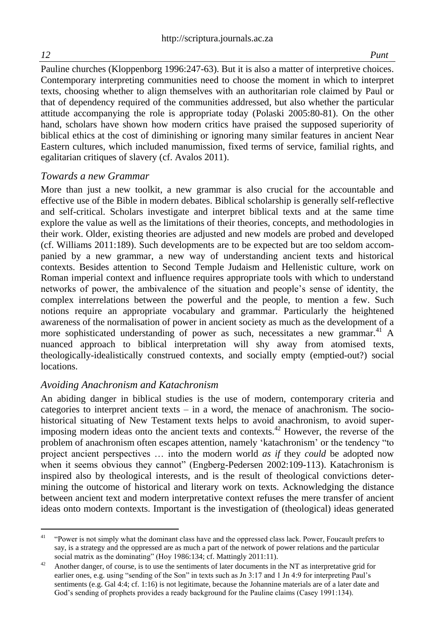Pauline churches (Kloppenborg 1996:247-63). But it is also a matter of interpretive choices. Contemporary interpreting communities need to choose the moment in which to interpret texts, choosing whether to align themselves with an authoritarian role claimed by Paul or that of dependency required of the communities addressed, but also whether the particular attitude accompanying the role is appropriate today (Polaski 2005:80-81). On the other hand, scholars have shown how modern critics have praised the supposed superiority of biblical ethics at the cost of diminishing or ignoring many similar features in ancient Near Eastern cultures, which included manumission, fixed terms of service, familial rights, and egalitarian critiques of slavery (cf. Avalos 2011).

#### *Towards a new Grammar*

More than just a new toolkit, a new grammar is also crucial for the accountable and effective use of the Bible in modern debates. Biblical scholarship is generally self-reflective and self-critical. Scholars investigate and interpret biblical texts and at the same time explore the value as well as the limitations of their theories, concepts, and methodologies in their work. Older, existing theories are adjusted and new models are probed and developed (cf. Williams 2011:189). Such developments are to be expected but are too seldom accompanied by a new grammar, a new way of understanding ancient texts and historical contexts. Besides attention to Second Temple Judaism and Hellenistic culture, work on Roman imperial context and influence requires appropriate tools with which to understand networks of power, the ambivalence of the situation and people's sense of identity, the complex interrelations between the powerful and the people, to mention a few. Such notions require an appropriate vocabulary and grammar. Particularly the heightened awareness of the normalisation of power in ancient society as much as the development of a more sophisticated understanding of power as such, necessitates a new grammar.<sup>41</sup> A nuanced approach to biblical interpretation will shy away from atomised texts, theologically-idealistically construed contexts, and socially empty (emptied-out?) social locations.

### *Avoiding Anachronism and Katachronism*

An abiding danger in biblical studies is the use of modern, contemporary criteria and categories to interpret ancient texts  $-$  in a word, the menace of anachronism. The sociohistorical situating of New Testament texts helps to avoid anachronism, to avoid superimposing modern ideas onto the ancient texts and contexts.<sup>42</sup> However, the reverse of the problem of anachronism often escapes attention, namely 'katachronism' or the tendency "to project ancient perspectives … into the modern world *as if* they *could* be adopted now when it seems obvious they cannot" (Engberg-Pedersen 2002:109-113). Katachronism is inspired also by theological interests, and is the result of theological convictions determining the outcome of historical and literary work on texts. Acknowledging the distance between ancient text and modern interpretative context refuses the mere transfer of ancient ideas onto modern contexts. Important is the investigation of (theological) ideas generated

l <sup>41</sup> "Power is not simply what the dominant class have and the oppressed class lack. Power, Foucault prefers to say, is a strategy and the oppressed are as much a part of the network of power relations and the particular social matrix as the dominating" (Hoy 1986:134; cf. Mattingly 2011:11).

<sup>&</sup>lt;sup>42</sup> Another danger, of course, is to use the sentiments of later documents in the NT as interpretative grid for earlier ones, e.g. using "sending of the Son" in texts such as Jn 3:17 and 1 Jn 4:9 for interpreting Paul's sentiments (e.g. Gal 4:4; cf. 1:16) is not legitimate, because the Johannine materials are of a later date and God's sending of prophets provides a ready background for the Pauline claims (Casey 1991:134).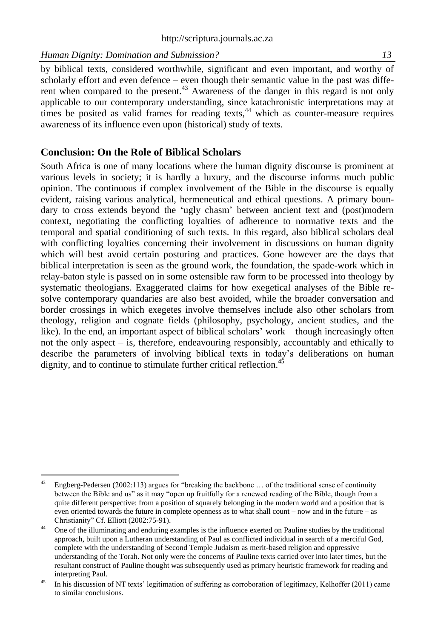by biblical texts, considered worthwhile, significant and even important, and worthy of scholarly effort and even defence – even though their semantic value in the past was different when compared to the present.<sup>43</sup> Awareness of the danger in this regard is not only applicable to our contemporary understanding, since katachronistic interpretations may at times be posited as valid frames for reading texts,  $44$  which as counter-measure requires awareness of its influence even upon (historical) study of texts.

#### **Conclusion: On the Role of Biblical Scholars**

South Africa is one of many locations where the human dignity discourse is prominent at various levels in society; it is hardly a luxury, and the discourse informs much public opinion. The continuous if complex involvement of the Bible in the discourse is equally evident, raising various analytical, hermeneutical and ethical questions. A primary boundary to cross extends beyond the 'ugly chasm' between ancient text and (post)modern context, negotiating the conflicting loyalties of adherence to normative texts and the temporal and spatial conditioning of such texts. In this regard, also biblical scholars deal with conflicting loyalties concerning their involvement in discussions on human dignity which will best avoid certain posturing and practices. Gone however are the days that biblical interpretation is seen as the ground work, the foundation, the spade-work which in relay-baton style is passed on in some ostensible raw form to be processed into theology by systematic theologians. Exaggerated claims for how exegetical analyses of the Bible resolve contemporary quandaries are also best avoided, while the broader conversation and border crossings in which exegetes involve themselves include also other scholars from theology, religion and cognate fields (philosophy, psychology, ancient studies, and the like). In the end, an important aspect of biblical scholars' work – though increasingly often not the only aspect – is, therefore, endeavouring responsibly, accountably and ethically to describe the parameters of involving biblical texts in today's deliberations on human dignity, and to continue to stimulate further critical reflection.<sup>45</sup>

<sup>43</sup> Engberg-Pedersen (2002:113) argues for "breaking the backbone ... of the traditional sense of continuity between the Bible and us" as it may "open up fruitfully for a renewed reading of the Bible, though from a quite different perspective: from a position of squarely belonging in the modern world and a position that is even oriented towards the future in complete openness as to what shall count – now and in the future – as Christianity" Cf. Elliott (2002:75-91).

<sup>&</sup>lt;sup>44</sup> One of the illuminating and enduring examples is the influence exerted on Pauline studies by the traditional approach, built upon a Lutheran understanding of Paul as conflicted individual in search of a merciful God, complete with the understanding of Second Temple Judaism as merit-based religion and oppressive understanding of the Torah. Not only were the concerns of Pauline texts carried over into later times, but the resultant construct of Pauline thought was subsequently used as primary heuristic framework for reading and interpreting Paul.

<sup>&</sup>lt;sup>45</sup> In his discussion of NT texts' legitimation of suffering as corroboration of legitimacy, Kelhoffer (2011) came to similar conclusions.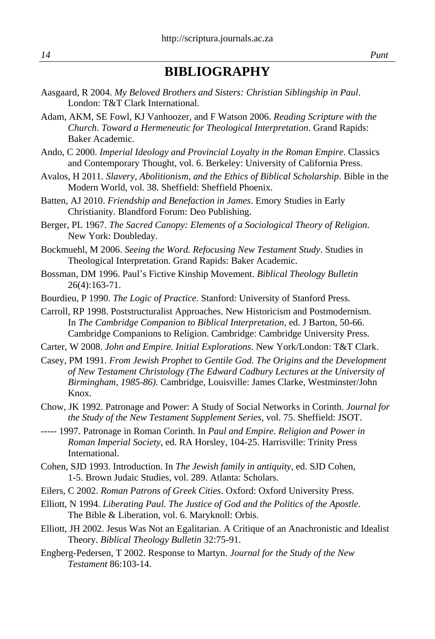# **BIBLIOGRAPHY**

- Aasgaard, R 2004. *My Beloved Brothers and Sisters: Christian Siblingship in Paul*. London: T&T Clark International.
- Adam, AKM, SE Fowl, KJ Vanhoozer, and F Watson 2006. *Reading Scripture with the Church. Toward a Hermeneutic for Theological Interpretation*. Grand Rapids: Baker Academic.
- Ando, C 2000. *Imperial Ideology and Provincial Loyalty in the Roman Empire*. Classics and Contemporary Thought, vol. 6. Berkeley: University of California Press.
- Avalos, H 2011. *Slavery, Abolitionism, and the Ethics of Biblical Scholarship*. Bible in the Modern World, vol. 38. Sheffield: Sheffield Phoenix.
- Batten, AJ 2010. *Friendship and Benefaction in James*. Emory Studies in Early Christianity. Blandford Forum: Deo Publishing.
- Berger, PL 1967. *The Sacred Canopy: Elements of a Sociological Theory of Religion*. New York: Doubleday.
- Bockmuehl, M 2006. *Seeing the Word. Refocusing New Testament Study*. Studies in Theological Interpretation. Grand Rapids: Baker Academic.
- Bossman, DM 1996. Paul's Fictive Kinship Movement. *Biblical Theology Bulletin* 26(4):163-71.
- Bourdieu, P 1990. *The Logic of Practice*. Stanford: University of Stanford Press.
- Carroll, RP 1998. Poststructuralist Approaches. New Historicism and Postmodernism. In *The Cambridge Companion to Biblical Interpretation*, ed. J Barton, 50-66. Cambridge Companions to Religion. Cambridge: Cambridge University Press.
- Carter, W 2008. *John and Empire. Initial Explorations*. New York/London: T&T Clark.
- Casey, PM 1991. *From Jewish Prophet to Gentile God. The Origins and the Development of New Testament Christology (The Edward Cadbury Lectures at the University of Birmingham, 1985-86)*. Cambridge, Louisville: James Clarke, Westminster/John Knox.
- Chow, JK 1992. Patronage and Power: A Study of Social Networks in Corinth. *Journal for the Study of the New Testament Supplement Series*, vol. 75. Sheffield: JSOT.
- ----- 1997. Patronage in Roman Corinth. In *Paul and Empire. Religion and Power in Roman Imperial Society*, ed. RA Horsley, 104-25. Harrisville: Trinity Press International.
- Cohen, SJD 1993. Introduction. In *The Jewish family in antiquity*, ed. SJD Cohen, 1-5. Brown Judaic Studies, vol. 289. Atlanta: Scholars.
- Eilers, C 2002. *Roman Patrons of Greek Cities*. Oxford: Oxford University Press.
- Elliott, N 1994. *Liberating Paul. The Justice of God and the Politics of the Apostle*. The Bible & Liberation, vol. 6. Maryknoll: Orbis.
- Elliott, JH 2002. Jesus Was Not an Egalitarian. A Critique of an Anachronistic and Idealist Theory. *Biblical Theology Bulletin* 32:75-91.
- Engberg-Pedersen, T 2002. Response to Martyn. *Journal for the Study of the New Testament* 86:103-14.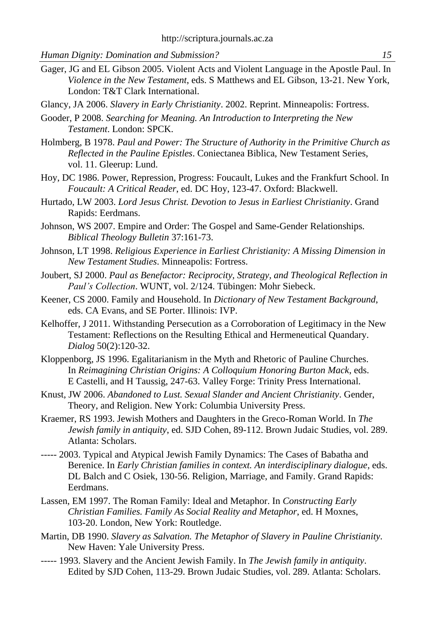Gager, JG and EL Gibson 2005. Violent Acts and Violent Language in the Apostle Paul. In *Violence in the New Testament*, eds. S Matthews and EL Gibson, 13-21. New York, London: T&T Clark International.

Glancy, JA 2006. *Slavery in Early Christianity*. 2002. Reprint. Minneapolis: Fortress.

- Gooder, P 2008. *Searching for Meaning. An Introduction to Interpreting the New Testament*. London: SPCK.
- Holmberg, B 1978. *Paul and Power: The Structure of Authority in the Primitive Church as Reflected in the Pauline Epistles*. Coniectanea Biblica, New Testament Series, vol. 11. Gleerup: Lund.
- Hoy, DC 1986. Power, Repression, Progress: Foucault, Lukes and the Frankfurt School. In *Foucault: A Critical Reader*, ed. DC Hoy, 123-47. Oxford: Blackwell.
- Hurtado, LW 2003. *Lord Jesus Christ. Devotion to Jesus in Earliest Christianity*. Grand Rapids: Eerdmans.
- Johnson, WS 2007. Empire and Order: The Gospel and Same-Gender Relationships. *Biblical Theology Bulletin* 37:161-73.
- Johnson, LT 1998. *Religious Experience in Earliest Christianity: A Missing Dimension in New Testament Studies*. Minneapolis: Fortress.
- Joubert, SJ 2000. *Paul as Benefactor: Reciprocity, Strategy, and Theological Reflection in Paul's Collection*. WUNT, vol. 2/124. Tübingen: Mohr Siebeck.
- Keener, CS 2000. Family and Household. In *Dictionary of New Testament Background*, eds. CA Evans, and SE Porter. Illinois: IVP.
- Kelhoffer, J 2011. Withstanding Persecution as a Corroboration of Legitimacy in the New Testament: Reflections on the Resulting Ethical and Hermeneutical Quandary. *Dialog* 50(2):120-32.
- Kloppenborg, JS 1996. Egalitarianism in the Myth and Rhetoric of Pauline Churches. In *Reimagining Christian Origins: A Colloquium Honoring Burton Mack*, eds. E Castelli, and H Taussig, 247-63. Valley Forge: Trinity Press International.
- Knust, JW 2006. *Abandoned to Lust. Sexual Slander and Ancient Christianity*. Gender, Theory, and Religion. New York: Columbia University Press.
- Kraemer, RS 1993. Jewish Mothers and Daughters in the Greco-Roman World. In *The Jewish family in antiquity*, ed. SJD Cohen, 89-112. Brown Judaic Studies, vol. 289. Atlanta: Scholars.
- ----- 2003. Typical and Atypical Jewish Family Dynamics: The Cases of Babatha and Berenice. In *Early Christian families in context. An interdisciplinary dialogue*, eds. DL Balch and C Osiek, 130-56. Religion, Marriage, and Family. Grand Rapids: Eerdmans.
- Lassen, EM 1997. The Roman Family: Ideal and Metaphor. In *Constructing Early Christian Families. Family As Social Reality and Metaphor*, ed. H Moxnes, 103-20. London, New York: Routledge.
- Martin, DB 1990. *Slavery as Salvation. The Metaphor of Slavery in Pauline Christianity*. New Haven: Yale University Press.
- ----- 1993. Slavery and the Ancient Jewish Family. In *The Jewish family in antiquity*. Edited by SJD Cohen, 113-29. Brown Judaic Studies, vol. 289. Atlanta: Scholars.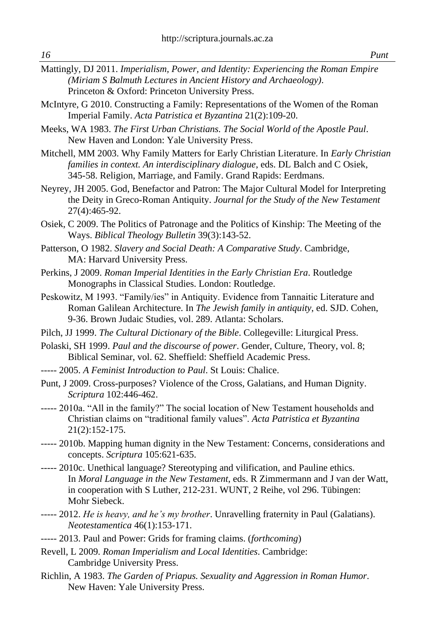- Mattingly, DJ 2011. *Imperialism, Power, and Identity: Experiencing the Roman Empire (Miriam S Balmuth Lectures in Ancient History and Archaeology)*. Princeton & Oxford: Princeton University Press.
- McIntyre, G 2010. Constructing a Family: Representations of the Women of the Roman Imperial Family. *Acta Patristica et Byzantina* 21(2):109-20.
- Meeks, WA 1983. *The First Urban Christians. The Social World of the Apostle Paul*. New Haven and London: Yale University Press.
- Mitchell, MM 2003. Why Family Matters for Early Christian Literature. In *Early Christian families in context. An interdisciplinary dialogue*, eds. DL Balch and C Osiek, 345-58. Religion, Marriage, and Family. Grand Rapids: Eerdmans.
- Neyrey, JH 2005. God, Benefactor and Patron: The Major Cultural Model for Interpreting the Deity in Greco-Roman Antiquity. *Journal for the Study of the New Testament* 27(4):465-92.
- Osiek, C 2009. The Politics of Patronage and the Politics of Kinship: The Meeting of the Ways. *Biblical Theology Bulletin* 39(3):143-52.
- Patterson, O 1982. *Slavery and Social Death: A Comparative Study*. Cambridge, MA: Harvard University Press.
- Perkins, J 2009. *Roman Imperial Identities in the Early Christian Era*. Routledge Monographs in Classical Studies. London: Routledge.
- Peskowitz, M 1993. "Family/ies" in Antiquity. Evidence from Tannaitic Literature and Roman Galilean Architecture. In *The Jewish family in antiquity*, ed. SJD. Cohen, 9-36. Brown Judaic Studies, vol. 289. Atlanta: Scholars.
- Pilch, JJ 1999. *The Cultural Dictionary of the Bible*. Collegeville: Liturgical Press.
- Polaski, SH 1999. *Paul and the discourse of power*. Gender, Culture, Theory, vol. 8; Biblical Seminar, vol. 62. Sheffield: Sheffield Academic Press.
- ----- 2005. *A Feminist Introduction to Paul*. St Louis: Chalice.
- Punt, J 2009. Cross-purposes? Violence of the Cross, Galatians, and Human Dignity. *Scriptura* 102:446-462.
- ----- 2010a. "All in the family?" The social location of New Testament households and Christian claims on "traditional family values". *Acta Patristica et Byzantina* 21(2):152-175.
- ----- 2010b. Mapping human dignity in the New Testament: Concerns, considerations and concepts. *Scriptura* 105:621-635.
- ----- 2010c. Unethical language? Stereotyping and vilification, and Pauline ethics. In *Moral Language in the New Testament*, eds. R Zimmermann and J van der Watt, in cooperation with S Luther, 212-231. WUNT, 2 Reihe, vol 296. Tübingen: Mohr Siebeck.
- ----- 2012. *He is heavy, and he's my brother*. Unravelling fraternity in Paul (Galatians). *Neotestamentica* 46(1):153-171.
- ----- 2013. Paul and Power: Grids for framing claims. (*forthcoming*)
- Revell, L 2009. *Roman Imperialism and Local Identities*. Cambridge: Cambridge University Press.
- Richlin, A 1983. *The Garden of Priapus. Sexuality and Aggression in Roman Humor*. New Haven: Yale University Press.